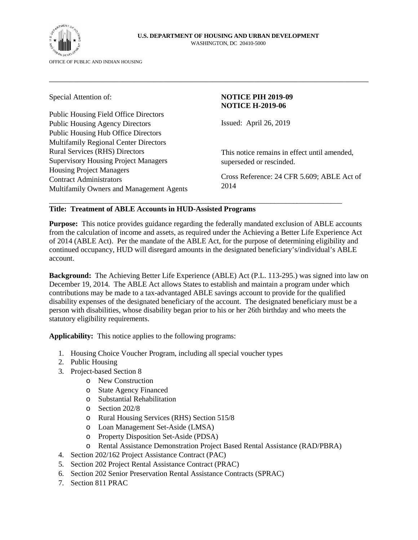

#### **U.S. DEPARTMENT OF HOUSING AND URBAN DEVELOPMENT**  WASHINGTON, DC 20410-5000

\_\_\_\_\_\_\_\_\_\_\_\_\_\_\_\_\_\_\_\_\_\_\_\_\_\_\_\_\_\_\_\_\_\_\_\_\_\_\_\_\_\_\_\_\_\_\_\_\_\_\_\_\_\_\_\_\_\_\_\_\_\_\_\_\_\_\_\_\_\_\_\_\_\_\_\_\_\_

Public Housing Field Office Directors Public Housing Agency Directors Public Housing Hub Office Directors Multifamily Regional Center Directors Rural Services (RHS) Directors Supervisory Housing Project Managers Housing Project Managers Contract Administrators Multifamily Owners and Management Agents

# Special Attention of: **NOTICE PIH 2019-09 NOTICE H-2019-06**

Issued: April 26, 2019

This notice remains in effect until amended, superseded or rescinded.

Cross Reference: 24 CFR 5.609; ABLE Act of 2014

# **Title: Treatment of ABLE Accounts in HUD-Assisted Programs**

**Purpose:** This notice provides guidance regarding the federally mandated exclusion of ABLE accounts from the calculation of income and assets, as required under the Achieving a Better Life Experience Act of 2014 (ABLE Act). Per the mandate of the ABLE Act, for the purpose of determining eligibility and continued occupancy, HUD will disregard amounts in the designated beneficiary's/individual's ABLE account.

\_\_\_\_\_\_\_\_\_\_\_\_\_\_\_\_\_\_\_\_\_\_\_\_\_\_\_\_\_\_\_\_\_\_\_\_\_\_\_\_\_\_\_\_\_\_\_\_\_\_\_\_\_\_\_\_\_\_\_\_\_\_\_\_\_\_\_\_\_\_\_\_\_\_\_\_\_\_

**Background:** The Achieving Better Life Experience (ABLE) Act (P.L. 113-295.) was signed into law on December 19, 2014. The ABLE Act allows States to establish and maintain a program under which contributions may be made to a tax-advantaged ABLE savings account to provide for the qualified disability expenses of the designated beneficiary of the account. The designated beneficiary must be a person with disabilities, whose disability began prior to his or her 26th birthday and who meets the statutory eligibility requirements.

**Applicability:** This notice applies to the following programs:

- 1. Housing Choice Voucher Program, including all special voucher types
- 2. Public Housing
- 3. Project-based Section 8
	- o New Construction
	- o State Agency Financed
	- o Substantial Rehabilitation
	- o Section 202/8
	- o Rural Housing Services (RHS) Section 515/8
	- o Loan Management Set-Aside (LMSA)
	- o Property Disposition Set-Aside (PDSA)
	- o Rental Assistance Demonstration Project Based Rental Assistance (RAD/PBRA)
- 4. Section 202/162 Project Assistance Contract (PAC)
- 5. Section 202 Project Rental Assistance Contract (PRAC)
- 6. Section 202 Senior Preservation Rental Assistance Contracts (SPRAC)
- 7. Section 811 PRAC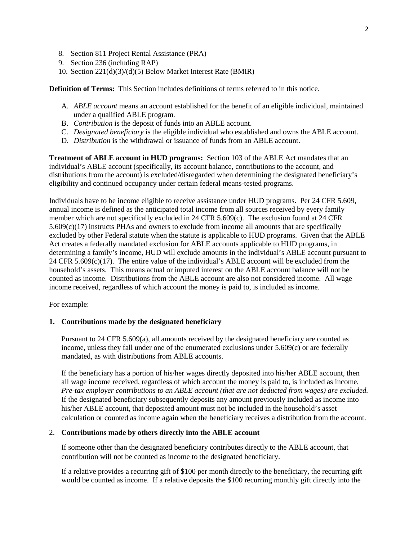- 8. Section 811 Project Rental Assistance (PRA)
- 9. Section 236 (including RAP)
- 10. Section 221(d)(3)/(d)(5) Below Market Interest Rate (BMIR)

**Definition of Terms:** This Section includes definitions of terms referred to in this notice.

- A. *ABLE account* means an account established for the benefit of an eligible individual, maintained under a qualified ABLE program.
- B. *Contribution* is the deposit of funds into an ABLE account.
- C. *Designated beneficiary* is the eligible individual who established and owns the ABLE account.
- D. *Distribution* is the withdrawal or issuance of funds from an ABLE account.

**Treatment of ABLE account in HUD programs:** Section 103 of the ABLE Act mandates that an individual's ABLE account (specifically, its account balance, contributions to the account, and distributions from the account) is excluded/disregarded when determining the designated beneficiary's eligibility and continued occupancy under certain federal means-tested programs.

Individuals have to be income eligible to receive assistance under HUD programs. Per 24 CFR 5.609, annual income is defined as the anticipated total income from all sources received by every family member which are not specifically excluded in 24 CFR 5.609(c). The exclusion found at 24 CFR 5.609(c)(17) instructs PHAs and owners to exclude from income all amounts that are specifically excluded by other Federal statute when the statute is applicable to HUD programs. Given that the ABLE Act creates a federally mandated exclusion for ABLE accounts applicable to HUD programs, in determining a family's income, HUD will exclude amounts in the individual's ABLE account pursuant to 24 CFR  $5.609(c)(17)$ . The entire value of the individual's ABLE account will be excluded from the household's assets. This means actual or imputed interest on the ABLE account balance will not be counted as income. Distributions from the ABLE account are also not considered income. All wage income received, regardless of which account the money is paid to, is included as income.

For example:

### **1. Contributions made by the designated beneficiary**

Pursuant to 24 CFR 5.609(a), all amounts received by the designated beneficiary are counted as income, unless they fall under one of the enumerated exclusions under 5.609(c) or are federally mandated, as with distributions from ABLE accounts.

If the beneficiary has a portion of his/her wages directly deposited into his/her ABLE account, then all wage income received, regardless of which account the money is paid to, is included as income*. Pre-tax employer contributions to an ABLE account (that are not deducted from wages) are excluded.* If the designated beneficiary subsequently deposits any amount previously included as income into his/her ABLE account, that deposited amount must not be included in the household's asset calculation or counted as income again when the beneficiary receives a distribution from the account.

### 2. **Contributions made by others directly into the ABLE account**

If someone other than the designated beneficiary contributes directly to the ABLE account, that contribution will not be counted as income to the designated beneficiary.

If a relative provides a recurring gift of \$100 per month directly to the beneficiary, the recurring gift would be counted as income. If a relative deposits the \$100 recurring monthly gift directly into the